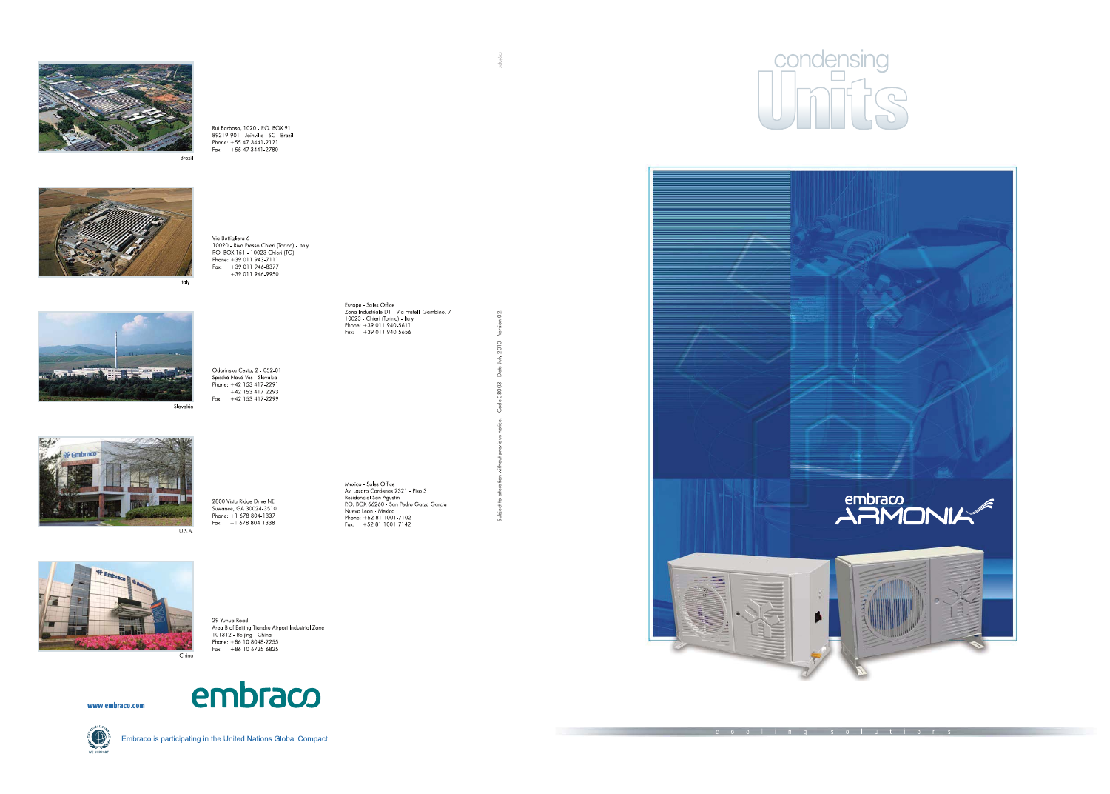









29 Yuhua Road 29 Yuhua Koad<br>Area B of Beijing Tianzhu Airport Industrial Zone<br>101312 - Beijing - China<br>Phone: +86 10 8048-2255<br>Fax: +86 10 6725-6825







Embraco is participating in the United Nations Global Compact.

Rui Barbosa, 1020 - P.O. BOX 91 89219-901 Joinville SC - Brazil Phone: +55 47 3441-2121<br>Fax: +55 47 3441-2780

Via Buttigliera 6 via bunignera<br>10020 - Riva Presso Chieri (Torino) - Italy<br>10020 - Riva Presso Chieri (TO)<br>Phone: +39 011 943-7111 Finance:  $+39011946-8377$ <br> $+39011946-9950$ 

Odorinska Cesta, 2 - 052-01

Spišská Nová Ves - Slovakia<br>Phone: +42 153 417-2291  $+42$  153 417 2293 Fax: +42 153 417-2299

2800 Vista Ridge Drive NE<br>Suwanee, GA 30024-3510 Phone: +1 678 804-1337 Fax:  $+16788041338$ 

Europe - Sales Office<br>Zona Industriale D1 - Via Fratelli Gambino, 7<br>10023 - Chieri (Torino) - Italy<br>Phone: +39 011 940-5611<br>Fax: +39 011 940-5656

Mexico - Sales Office<br>Av. Lazaro Cardenas 2321 - Piso 3<br>Residencial San Agustin<br>P.O. BOX 66260 - San Pedro Garza Garcia<br>Nuevo Leon - Mexico<br>Phone: +52 81 1001-7102<br>Fax: +52 81 1001-7142

S.





cooling solutions